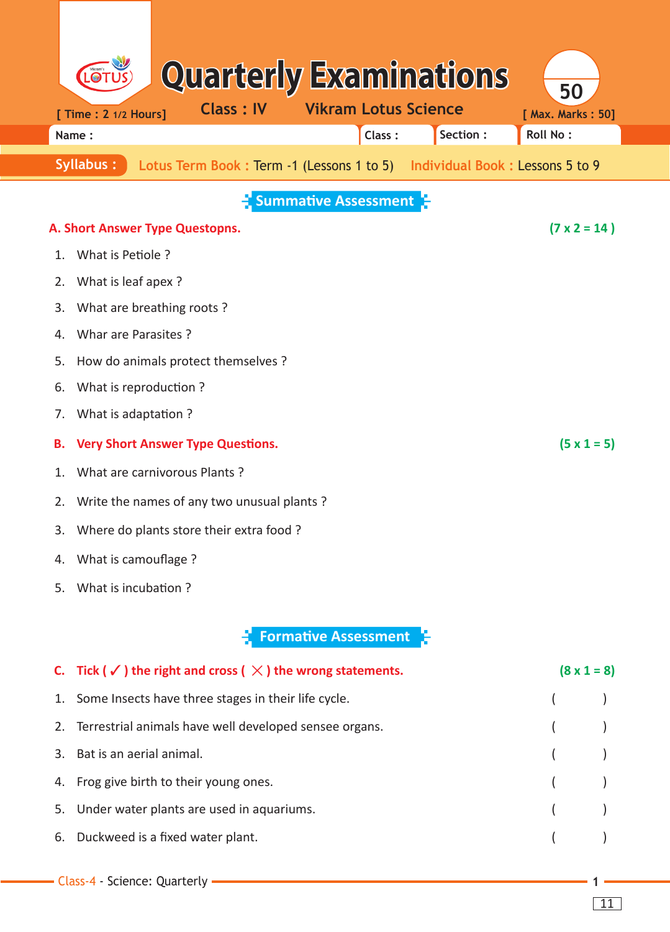|                             | LOT                                                    | <b>Quarterly Examinations</b>                                              |  |  |                             |  |          | 50                |                    |
|-----------------------------|--------------------------------------------------------|----------------------------------------------------------------------------|--|--|-----------------------------|--|----------|-------------------|--------------------|
|                             | [ Time : 2 1/2 Hours]                                  | <b>Class: IV</b>                                                           |  |  | <b>Vikram Lotus Science</b> |  |          | [ Max. Marks: 50] |                    |
|                             | Name:                                                  |                                                                            |  |  | Class:                      |  | Section: | <b>Roll No:</b>   |                    |
|                             | Syllabus:                                              | Lotus Term Book: Term -1 (Lessons 1 to 5) Individual Book: Lessons 5 to 9  |  |  |                             |  |          |                   |                    |
|                             | <b>Summative Assessment</b>                            |                                                                            |  |  |                             |  |          |                   |                    |
|                             | $(7 \times 2 = 14)$<br>A. Short Answer Type Questopns. |                                                                            |  |  |                             |  |          |                   |                    |
| 1.                          | What is Petiole?                                       |                                                                            |  |  |                             |  |          |                   |                    |
| 2.                          | What is leaf apex?                                     |                                                                            |  |  |                             |  |          |                   |                    |
| 3.                          | What are breathing roots?                              |                                                                            |  |  |                             |  |          |                   |                    |
| 4.                          | Whar are Parasites?                                    |                                                                            |  |  |                             |  |          |                   |                    |
| 5.                          |                                                        | How do animals protect themselves ?                                        |  |  |                             |  |          |                   |                    |
| 6.                          | What is reproduction?                                  |                                                                            |  |  |                             |  |          |                   |                    |
| 7.                          | What is adaptation?                                    |                                                                            |  |  |                             |  |          |                   |                    |
| Β.                          |                                                        | <b>Very Short Answer Type Questions.</b>                                   |  |  |                             |  |          |                   | $(5 \times 1 = 5)$ |
| 1.                          |                                                        | What are carnivorous Plants?                                               |  |  |                             |  |          |                   |                    |
| 2.                          | Write the names of any two unusual plants?             |                                                                            |  |  |                             |  |          |                   |                    |
| 3.                          | Where do plants store their extra food?                |                                                                            |  |  |                             |  |          |                   |                    |
| 4.                          | What is camouflage?                                    |                                                                            |  |  |                             |  |          |                   |                    |
| 5.                          | What is incubation?                                    |                                                                            |  |  |                             |  |          |                   |                    |
| <b>Formative Assessment</b> |                                                        |                                                                            |  |  |                             |  |          |                   |                    |
| C.                          |                                                        | Tick ( $\checkmark$ ) the right and cross ( $\chi$ ) the wrong statements. |  |  |                             |  |          |                   | $(8 \times 1 = 8)$ |
| 1.                          |                                                        | Some Insects have three stages in their life cycle.                        |  |  |                             |  |          |                   |                    |
| 2.                          |                                                        | Terrestrial animals have well developed sensee organs.                     |  |  |                             |  |          |                   |                    |
| 3.                          | Bat is an aerial animal.                               |                                                                            |  |  |                             |  |          |                   |                    |
| 4.                          |                                                        | Frog give birth to their young ones.                                       |  |  |                             |  |          |                   |                    |
| 5.                          |                                                        | Under water plants are used in aquariums.                                  |  |  |                             |  |          |                   |                    |
| 6.                          |                                                        | Duckweed is a fixed water plant.                                           |  |  |                             |  |          |                   |                    |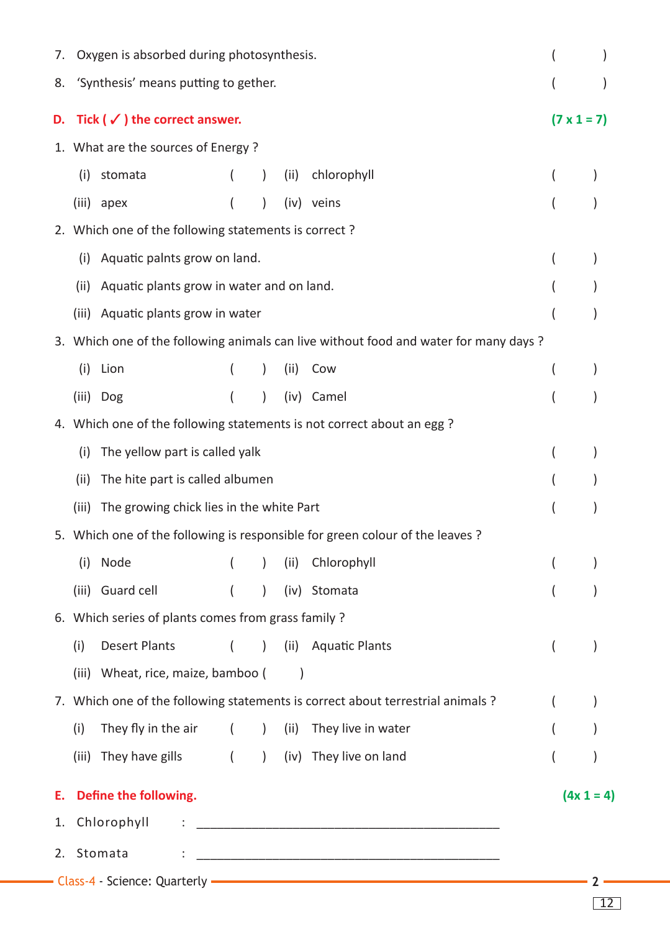| 7. |                                                                                      | Oxygen is absorbed during photosynthesis. |                |                                                 |      |                                                                                                               |                    |              |
|----|--------------------------------------------------------------------------------------|-------------------------------------------|----------------|-------------------------------------------------|------|---------------------------------------------------------------------------------------------------------------|--------------------|--------------|
| 8. |                                                                                      | 'Synthesis' means putting to gether.      |                |                                                 |      |                                                                                                               |                    |              |
| D. | Tick ( $\checkmark$ ) the correct answer.                                            |                                           |                |                                                 |      |                                                                                                               | $(7 \times 1 = 7)$ |              |
|    |                                                                                      | 1. What are the sources of Energy?        |                |                                                 |      |                                                                                                               |                    |              |
|    | (i)                                                                                  | stomata                                   |                |                                                 | (ii) | chlorophyll                                                                                                   |                    |              |
|    | (iii)                                                                                | apex                                      |                | $\mathcal{L}$                                   |      | (iv) veins                                                                                                    |                    |              |
|    | 2. Which one of the following statements is correct?                                 |                                           |                |                                                 |      |                                                                                                               |                    |              |
|    | Aquatic palnts grow on land.<br>(i)                                                  |                                           |                |                                                 |      |                                                                                                               |                    |              |
|    | Aquatic plants grow in water and on land.<br>(ii)                                    |                                           |                |                                                 |      |                                                                                                               |                    |              |
|    | (iii)                                                                                | Aquatic plants grow in water              |                |                                                 |      |                                                                                                               |                    |              |
|    | 3. Which one of the following animals can live without food and water for many days? |                                           |                |                                                 |      |                                                                                                               |                    |              |
|    | (i)                                                                                  | Lion                                      |                |                                                 | (ii) | Cow                                                                                                           |                    |              |
|    |                                                                                      | (iii) Dog                                 |                |                                                 |      | (iv) Camel                                                                                                    |                    |              |
|    | 4. Which one of the following statements is not correct about an egg ?               |                                           |                |                                                 |      |                                                                                                               |                    |              |
|    | (i)                                                                                  | The yellow part is called yalk            |                |                                                 |      |                                                                                                               |                    |              |
|    | (ii)                                                                                 | The hite part is called albumen           |                |                                                 |      |                                                                                                               |                    |              |
|    | (iii)                                                                                | The growing chick lies in the white Part  |                |                                                 |      |                                                                                                               |                    |              |
|    |                                                                                      |                                           |                |                                                 |      | 5. Which one of the following is responsible for green colour of the leaves?                                  |                    |              |
|    |                                                                                      | (i) Node                                  |                |                                                 |      | ( ) (ii) Chlorophyll                                                                                          |                    |              |
|    |                                                                                      | (iii) Guard cell                          | $\overline{ }$ | $\mathcal{L}$                                   |      | (iv) Stomata                                                                                                  |                    |              |
|    | 6. Which series of plants comes from grass family ?                                  |                                           |                |                                                 |      |                                                                                                               |                    |              |
|    | (i)                                                                                  | <b>Desert Plants</b>                      | $\left($       | $\left( \right)$                                | (ii) | <b>Aquatic Plants</b>                                                                                         |                    |              |
|    |                                                                                      | (iii) Wheat, rice, maize, bamboo (        |                |                                                 |      |                                                                                                               |                    |              |
|    |                                                                                      |                                           |                |                                                 |      | 7. Which one of the following statements is correct about terrestrial animals ?                               |                    |              |
|    | (i)                                                                                  | They fly in the air (                     |                | $\left( \begin{array}{c} \end{array} \right)$   |      | (ii) They live in water                                                                                       |                    |              |
|    | (iii)                                                                                | They have gills                           | $\left($       | $\left( \begin{array}{c} 1 \end{array} \right)$ |      | (iv) They live on land                                                                                        |                    |              |
| Е. |                                                                                      | Define the following.                     |                |                                                 |      |                                                                                                               |                    | $(4x 1 = 4)$ |
| 1. |                                                                                      | Chlorophyll                               |                |                                                 |      |                                                                                                               |                    |              |
| 2. |                                                                                      | Stomata                                   |                |                                                 |      |                                                                                                               |                    |              |
|    |                                                                                      |                                           |                |                                                 |      | - Class-4 - Science: Quarterly - The Class Content of the Class-4 - Science: Quarterly - The Class Content of |                    |              |

12